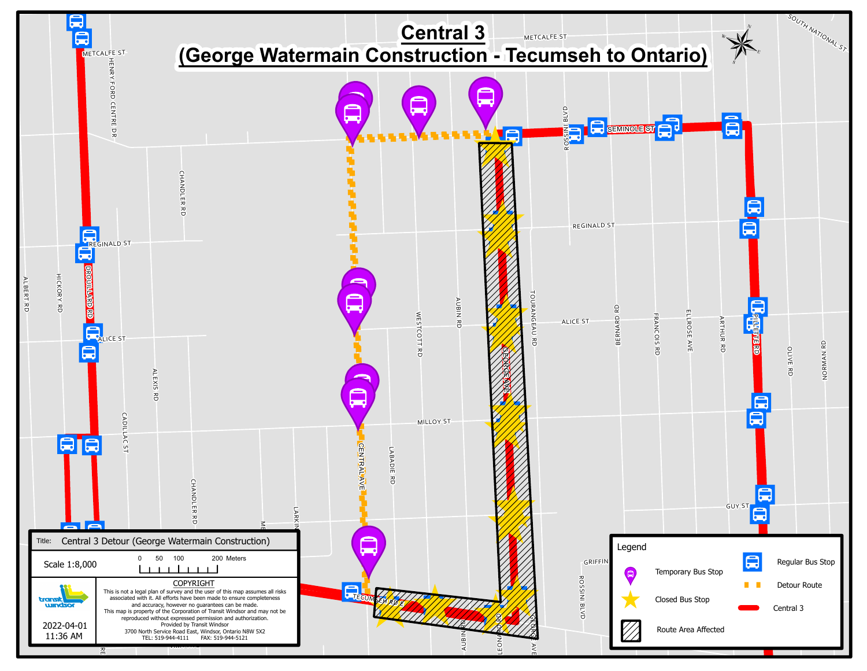